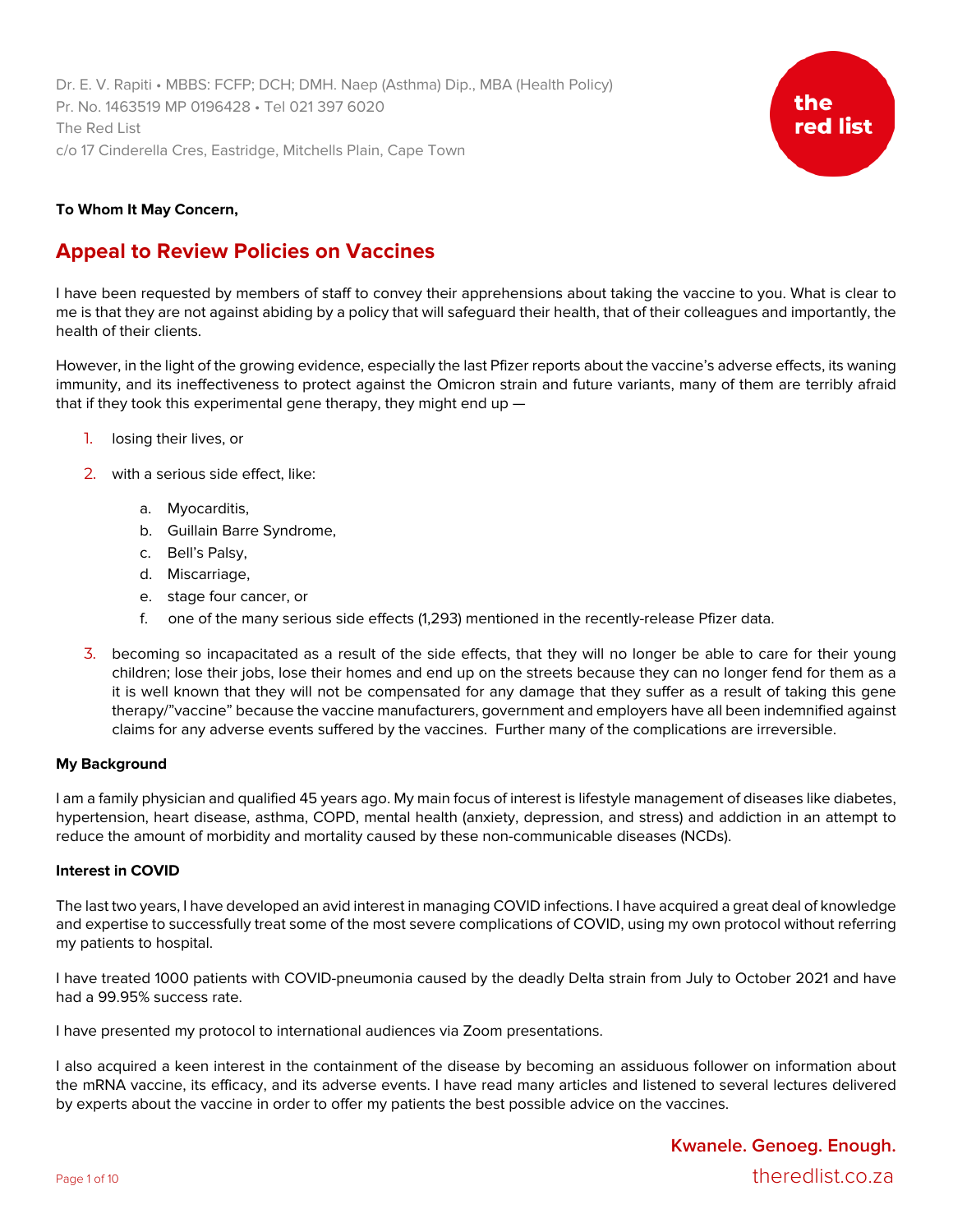Dr. E. V. Rapiti • MBBS: FCFP; DCH; DMH. Naep (Asthma) Dip., MBA (Health Policy) Pr. No. 1463519 MP 0196428 • Tel 021 397 6020 The Red List c/o 17 Cinderella Cres, Eastridge, Mitchells Plain, Cape Town



# **To Whom It May Concern,**

# **Appeal to Review Policies on Vaccines**

I have been requested by members of staff to convey their apprehensions about taking the vaccine to you. What is clear to me is that they are not against abiding by a policy that will safeguard their health, that of their colleagues and importantly, the health of their clients.

However, in the light of the growing evidence, especially the last Pfizer reports about the vaccine's adverse effects, its waning immunity, and its ineffectiveness to protect against the Omicron strain and future variants, many of them are terribly afraid that if they took this experimental gene therapy, they might end up —

- 1. losing their lives, or
- 2. with a serious side effect, like:
	- a. Myocarditis,
	- b. Guillain Barre Syndrome,
	- c. Bell's Palsy,
	- d. Miscarriage,
	- e. stage four cancer, or
	- f. one of the many serious side effects (1,293) mentioned in the recently-release Pfizer data.
- 3. becoming so incapacitated as a result of the side effects, that they will no longer be able to care for their young children; lose their jobs, lose their homes and end up on the streets because they can no longer fend for them as a it is well known that they will not be compensated for any damage that they suffer as a result of taking this gene therapy/"vaccine" because the vaccine manufacturers, government and employers have all been indemnified against claims for any adverse events suffered by the vaccines. Further many of the complications are irreversible.

# **My Background**

I am a family physician and qualified 45 years ago. My main focus of interest is lifestyle management of diseases like diabetes, hypertension, heart disease, asthma, COPD, mental health (anxiety, depression, and stress) and addiction in an attempt to reduce the amount of morbidity and mortality caused by these non-communicable diseases (NCDs).

# **Interest in COVID**

The last two years, I have developed an avid interest in managing COVID infections. I have acquired a great deal of knowledge and expertise to successfully treat some of the most severe complications of COVID, using my own protocol without referring my patients to hospital.

I have treated 1000 patients with COVID-pneumonia caused by the deadly Delta strain from July to October 2021 and have had a 99.95% success rate.

I have presented my protocol to international audiences via Zoom presentations.

I also acquired a keen interest in the containment of the disease by becoming an assiduous follower on information about the mRNA vaccine, its efficacy, and its adverse events. I have read many articles and listened to several lectures delivered by experts about the vaccine in order to offer my patients the best possible advice on the vaccines.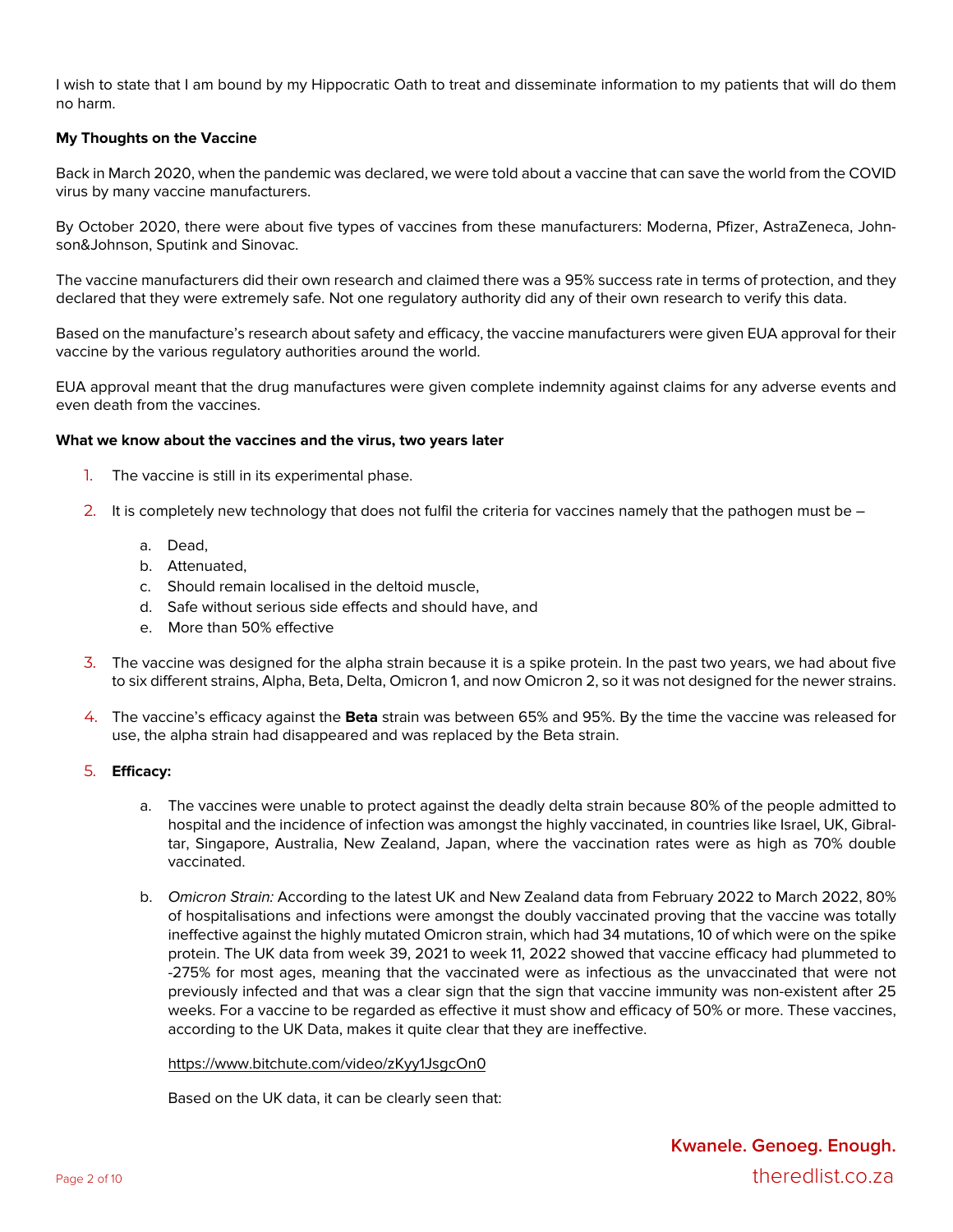I wish to state that I am bound by my Hippocratic Oath to treat and disseminate information to my patients that will do them no harm.

#### **My Thoughts on the Vaccine**

Back in March 2020, when the pandemic was declared, we were told about a vaccine that can save the world from the COVID virus by many vaccine manufacturers.

By October 2020, there were about five types of vaccines from these manufacturers: Moderna, Pfizer, AstraZeneca, Johnson&Johnson, Sputink and Sinovac.

The vaccine manufacturers did their own research and claimed there was a 95% success rate in terms of protection, and they declared that they were extremely safe. Not one regulatory authority did any of their own research to verify this data.

Based on the manufacture's research about safety and efficacy, the vaccine manufacturers were given EUA approval for their vaccine by the various regulatory authorities around the world.

EUA approval meant that the drug manufactures were given complete indemnity against claims for any adverse events and even death from the vaccines.

#### **What we know about the vaccines and the virus, two years later**

- 1. The vaccine is still in its experimental phase.
- 2. It is completely new technology that does not fulfil the criteria for vaccines namely that the pathogen must be
	- a. Dead,
	- b. Attenuated,
	- c. Should remain localised in the deltoid muscle,
	- d. Safe without serious side effects and should have, and
	- e. More than 50% effective
- 3. The vaccine was designed for the alpha strain because it is a spike protein. In the past two years, we had about five to six different strains, Alpha, Beta, Delta, Omicron 1, and now Omicron 2, so it was not designed for the newer strains.
- 4. The vaccine's efficacy against the **Beta** strain was between 65% and 95%. By the time the vaccine was released for use, the alpha strain had disappeared and was replaced by the Beta strain.
- 5. **Efficacy:**
	- a. The vaccines were unable to protect against the deadly delta strain because 80% of the people admitted to hospital and the incidence of infection was amongst the highly vaccinated, in countries like Israel, UK, Gibraltar, Singapore, Australia, New Zealand, Japan, where the vaccination rates were as high as 70% double vaccinated.
	- b. *Omicron Strain:* According to the latest UK and New Zealand data from February 2022 to March 2022, 80% of hospitalisations and infections were amongst the doubly vaccinated proving that the vaccine was totally ineffective against the highly mutated Omicron strain, which had 34 mutations, 10 of which were on the spike protein. The UK data from week 39, 2021 to week 11, 2022 showed that vaccine efficacy had plummeted to -275% for most ages, meaning that the vaccinated were as infectious as the unvaccinated that were not previously infected and that was a clear sign that the sign that vaccine immunity was non-existent after 25 weeks. For a vaccine to be regarded as effective it must show and efficacy of 50% or more. These vaccines, according to the UK Data, makes it quite clear that they are ineffective.

https://www.bitchute.com/video/zKyy1JsgcOn0

Based on the UK data, it can be clearly seen that: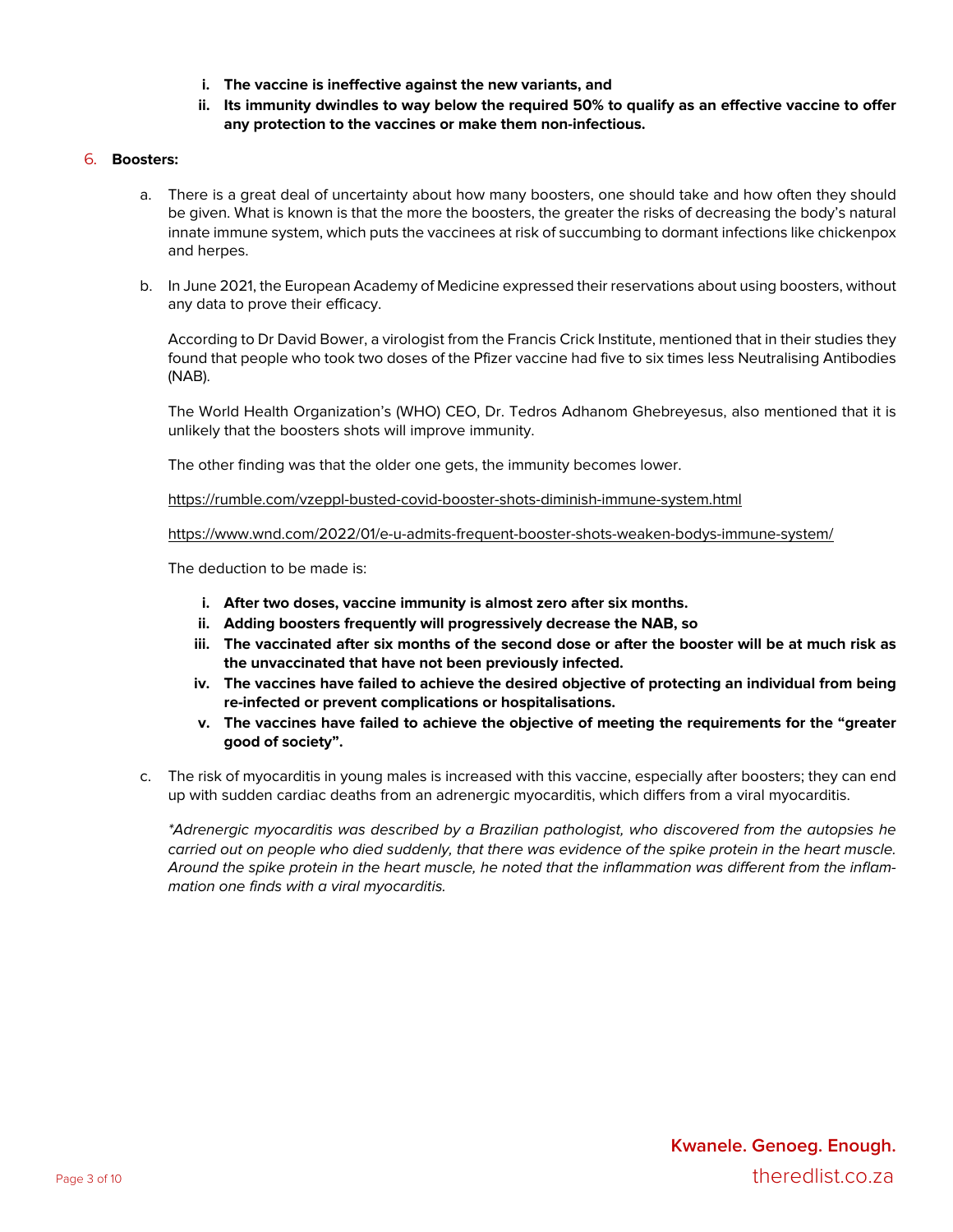- **i. The vaccine is ineffective against the new variants, and**
- ii. Its immunity dwindles to way below the required 50% to qualify as an effective vaccine to offer **any protection to the vaccines or make them non-infectious.**

#### 6. **Boosters:**

- a. There is a great deal of uncertainty about how many boosters, one should take and how often they should be given. What is known is that the more the boosters, the greater the risks of decreasing the body's natural innate immune system, which puts the vaccinees at risk of succumbing to dormant infections like chickenpox and herpes.
- b. In June 2021, the European Academy of Medicine expressed their reservations about using boosters, without any data to prove their efficacy.

According to Dr David Bower, a virologist from the Francis Crick Institute, mentioned that in their studies they found that people who took two doses of the Pfizer vaccine had five to six times less Neutralising Antibodies (NAB).

The World Health Organization's (WHO) CEO, Dr. Tedros Adhanom Ghebreyesus, also mentioned that it is unlikely that the boosters shots will improve immunity.

The other finding was that the older one gets, the immunity becomes lower.

https://rumble.com/vzeppl-busted-covid-booster-shots-diminish-immune-system.html

https://www.wnd.com/2022/01/e-u-admits-frequent-booster-shots-weaken-bodys-immune-system/

The deduction to be made is:

- **i. After two doses, vaccine immunity is almost zero after six months.**
- **ii. Adding boosters frequently will progressively decrease the NAB, so**
- iii. The vaccinated after six months of the second dose or after the booster will be at much risk as **the unvaccinated that have not been previously infected.**
- **iv. The vaccines have failed to achieve the desired objective of protecting an individual from being re-infected or prevent complications or hospitalisations.**
- **v. The vaccines have failed to achieve the objective of meeting the requirements for the "greater good of society".**
- c. The risk of myocarditis in young males is increased with this vaccine, especially after boosters; they can end up with sudden cardiac deaths from an adrenergic myocarditis, which differs from a viral myocarditis.

*\*Adrenergic myocarditis was described by a Brazilian pathologist, who discovered from the autopsies he* carried out on people who died suddenly, that there was evidence of the spike protein in the heart muscle. Around the spike protein in the heart muscle, he noted that the inflammation was different from the inflam*mation one finds with a viral myocarditis.*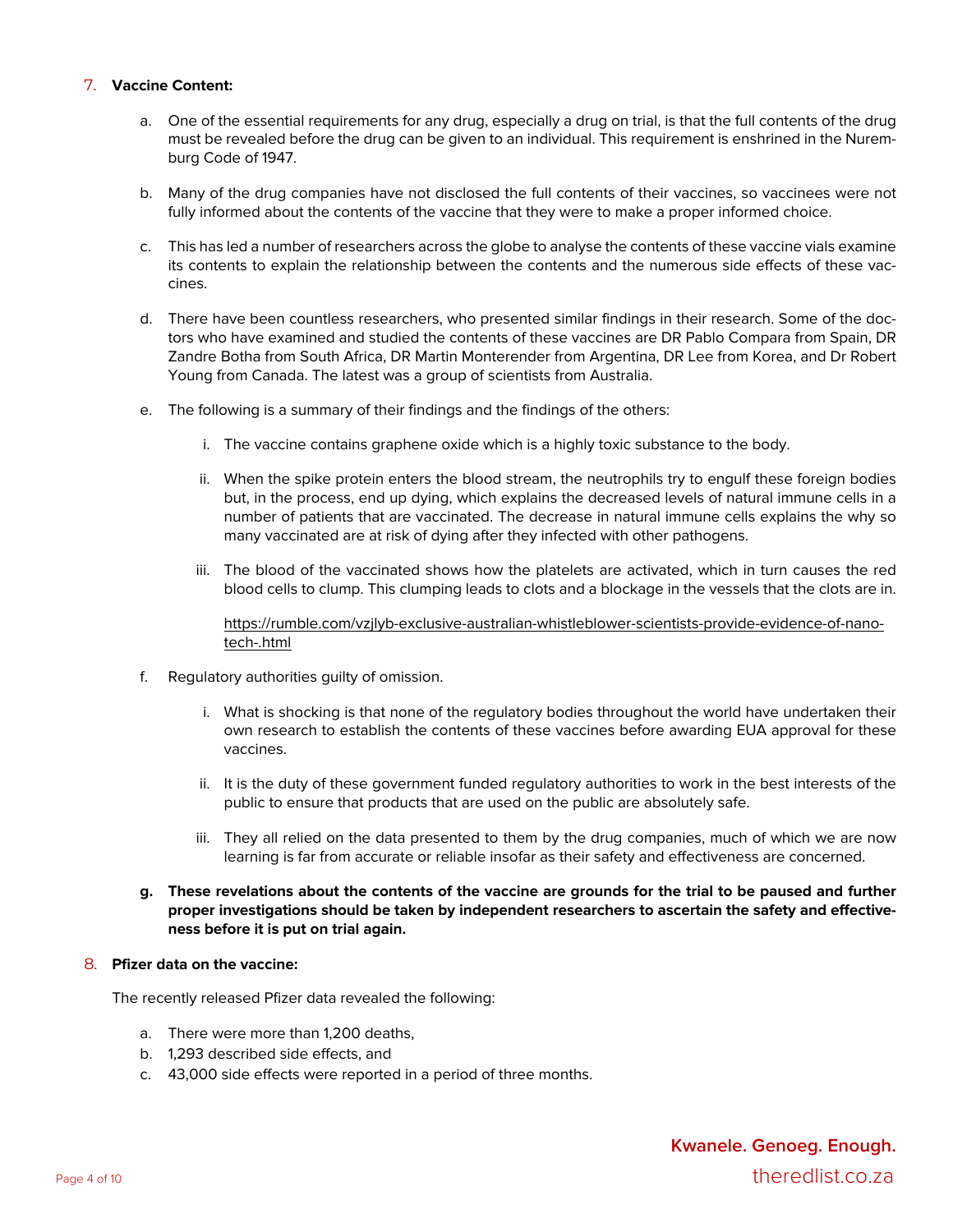# 7. **Vaccine Content:**

- a. One of the essential requirements for any drug, especially a drug on trial, is that the full contents of the drug must be revealed before the drug can be given to an individual. This requirement is enshrined in the Nuremburg Code of 1947.
- b. Many of the drug companies have not disclosed the full contents of their vaccines, so vaccinees were not fully informed about the contents of the vaccine that they were to make a proper informed choice.
- c. This has led a number of researchers across the globe to analyse the contents of these vaccine vials examine its contents to explain the relationship between the contents and the numerous side effects of these vaccines.
- d. There have been countless researchers, who presented similar findings in their research. Some of the doctors who have examined and studied the contents of these vaccines are DR Pablo Compara from Spain, DR Zandre Botha from South Africa, DR Martin Monterender from Argentina, DR Lee from Korea, and Dr Robert Young from Canada. The latest was a group of scientists from Australia.
- e. The following is a summary of their findings and the findings of the others:
	- i. The vaccine contains graphene oxide which is a highly toxic substance to the body.
	- ii. When the spike protein enters the blood stream, the neutrophils try to engulf these foreign bodies but, in the process, end up dying, which explains the decreased levels of natural immune cells in a number of patients that are vaccinated. The decrease in natural immune cells explains the why so many vaccinated are at risk of dying after they infected with other pathogens.
	- iii. The blood of the vaccinated shows how the platelets are activated, which in turn causes the red blood cells to clump. This clumping leads to clots and a blockage in the vessels that the clots are in.

https://rumble.com/vzjlyb-exclusive-australian-whistleblower-scientists-provide-evidence-of-nanotech-.html

- f. Regulatory authorities guilty of omission.
	- i. What is shocking is that none of the regulatory bodies throughout the world have undertaken their own research to establish the contents of these vaccines before awarding EUA approval for these vaccines.
	- ii. It is the duty of these government funded regulatory authorities to work in the best interests of the public to ensure that products that are used on the public are absolutely safe.
	- iii. They all relied on the data presented to them by the drug companies, much of which we are now learning is far from accurate or reliable insofar as their safety and effectiveness are concerned.
- g. These revelations about the contents of the vaccine are grounds for the trial to be paused and further **proper investigations should be taken by independent researchers to ascertain the safety and effectiveness before it is put on trial again.**

#### 8. **Pfizer data on the vaccine:**

The recently released Pfizer data revealed the following:

- a. There were more than 1,200 deaths,
- b. 1,293 described side effects, and
- c. 43,000 side effects were reported in a period of three months.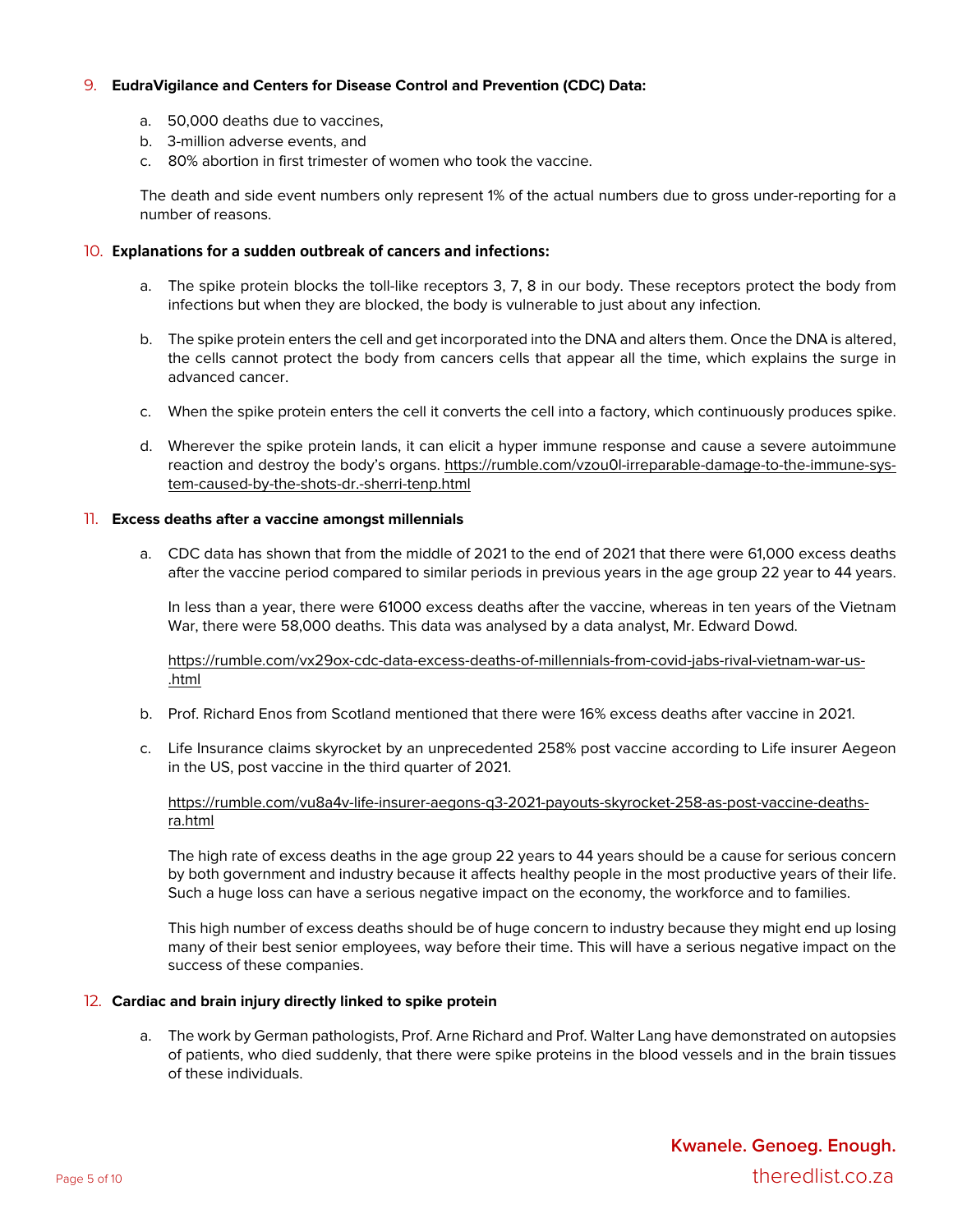# 9. **EudraVigilance and Centers for Disease Control and Prevention (CDC) Data:**

- a. 50,000 deaths due to vaccines,
- b. 3-million adverse events, and
- c. 80% abortion in first trimester of women who took the vaccine.

The death and side event numbers only represent 1% of the actual numbers due to gross under-reporting for a number of reasons.

# 10. **Explanations for a sudden outbreak of cancers and infections:**

- a. The spike protein blocks the toll-like receptors 3, 7, 8 in our body. These receptors protect the body from infections but when they are blocked, the body is vulnerable to just about any infection.
- b. The spike protein enters the cell and get incorporated into the DNA and alters them. Once the DNA is altered, the cells cannot protect the body from cancers cells that appear all the time, which explains the surge in advanced cancer.
- c. When the spike protein enters the cell it converts the cell into a factory, which continuously produces spike.
- d. Wherever the spike protein lands, it can elicit a hyper immune response and cause a severe autoimmune reaction and destroy the body's organs. https://rumble.com/vzou0l-irreparable-damage-to-the-immune-system-caused-by-the-shots-dr.-sherri-tenp.html

# 11. **Excess deaths after a vaccine amongst millennials**

a. CDC data has shown that from the middle of 2021 to the end of 2021 that there were 61,000 excess deaths after the vaccine period compared to similar periods in previous years in the age group 22 year to 44 years.

In less than a year, there were 61000 excess deaths after the vaccine, whereas in ten years of the Vietnam War, there were 58,000 deaths. This data was analysed by a data analyst, Mr. Edward Dowd.

https://rumble.com/vx29ox-cdc-data-excess-deaths-of-millennials-from-covid-jabs-rival-vietnam-war-us-.html

- b. Prof. Richard Enos from Scotland mentioned that there were 16% excess deaths after vaccine in 2021.
- c. Life Insurance claims skyrocket by an unprecedented 258% post vaccine according to Life insurer Aegeon in the US, post vaccine in the third quarter of 2021.

# https://rumble.com/vu8a4v-life-insurer-aegons-q3-2021-payouts-skyrocket-258-as-post-vaccine-deathsra.html

The high rate of excess deaths in the age group 22 years to 44 years should be a cause for serious concern by both government and industry because it affects healthy people in the most productive years of their life. Such a huge loss can have a serious negative impact on the economy, the workforce and to families.

This high number of excess deaths should be of huge concern to industry because they might end up losing many of their best senior employees, way before their time. This will have a serious negative impact on the success of these companies.

# 12. **Cardiac and brain injury directly linked to spike protein**

a. The work by German pathologists, Prof. Arne Richard and Prof. Walter Lang have demonstrated on autopsies of patients, who died suddenly, that there were spike proteins in the blood vessels and in the brain tissues of these individuals.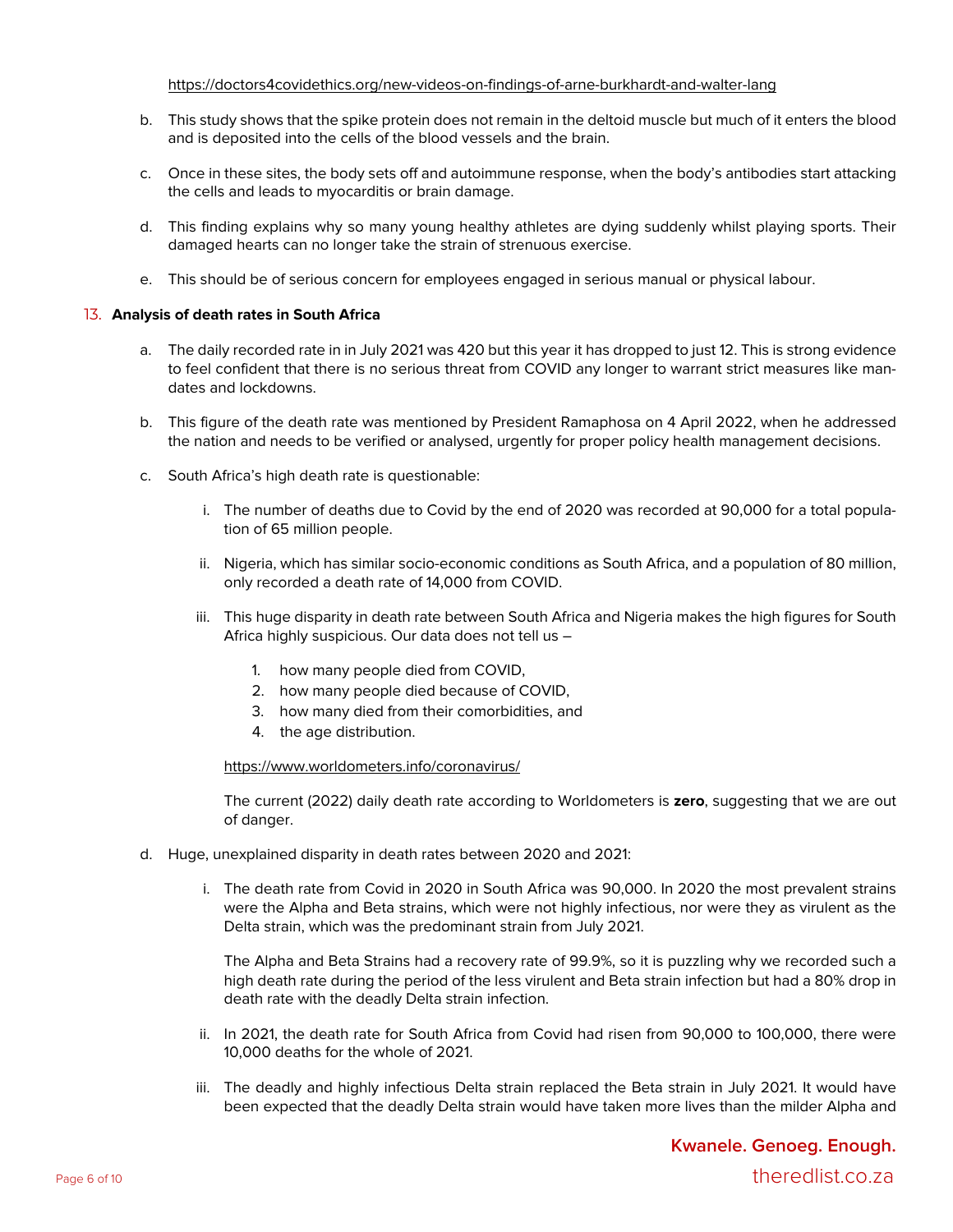#### https://doctors4covidethics.org/new-videos-on-findings-of-arne-burkhardt-and-walter-lang

- b. This study shows that the spike protein does not remain in the deltoid muscle but much of it enters the blood and is deposited into the cells of the blood vessels and the brain.
- c. Once in these sites, the body sets off and autoimmune response, when the body's antibodies start attacking the cells and leads to myocarditis or brain damage.
- d. This finding explains why so many young healthy athletes are dying suddenly whilst playing sports. Their damaged hearts can no longer take the strain of strenuous exercise.
- e. This should be of serious concern for employees engaged in serious manual or physical labour.

# 13. **Analysis of death rates in South Africa**

- a. The daily recorded rate in in July 2021 was 420 but this year it has dropped to just 12. This is strong evidence to feel confident that there is no serious threat from COVID any longer to warrant strict measures like mandates and lockdowns.
- b. This figure of the death rate was mentioned by President Ramaphosa on 4 April 2022, when he addressed the nation and needs to be verified or analysed, urgently for proper policy health management decisions.
- c. South Africa's high death rate is questionable:
	- i. The number of deaths due to Covid by the end of 2020 was recorded at 90,000 for a total population of 65 million people.
	- ii. Nigeria, which has similar socio-economic conditions as South Africa, and a population of 80 million, only recorded a death rate of 14,000 from COVID.
	- iii. This huge disparity in death rate between South Africa and Nigeria makes the high figures for South Africa highly suspicious. Our data does not tell us –
		- 1. how many people died from COVID,
		- 2. how many people died because of COVID,
		- 3. how many died from their comorbidities, and
		- 4. the age distribution.

https://www.worldometers.info/coronavirus/

The current (2022) daily death rate according to Worldometers is **zero**, suggesting that we are out of danger.

- d. Huge, unexplained disparity in death rates between 2020 and 2021:
	- i. The death rate from Covid in 2020 in South Africa was 90,000. In 2020 the most prevalent strains were the Alpha and Beta strains, which were not highly infectious, nor were they as virulent as the Delta strain, which was the predominant strain from July 2021.

The Alpha and Beta Strains had a recovery rate of 99.9%, so it is puzzling why we recorded such a high death rate during the period of the less virulent and Beta strain infection but had a 80% drop in death rate with the deadly Delta strain infection.

- ii. In 2021, the death rate for South Africa from Covid had risen from 90,000 to 100,000, there were 10,000 deaths for the whole of 2021.
- iii. The deadly and highly infectious Delta strain replaced the Beta strain in July 2021. It would have been expected that the deadly Delta strain would have taken more lives than the milder Alpha and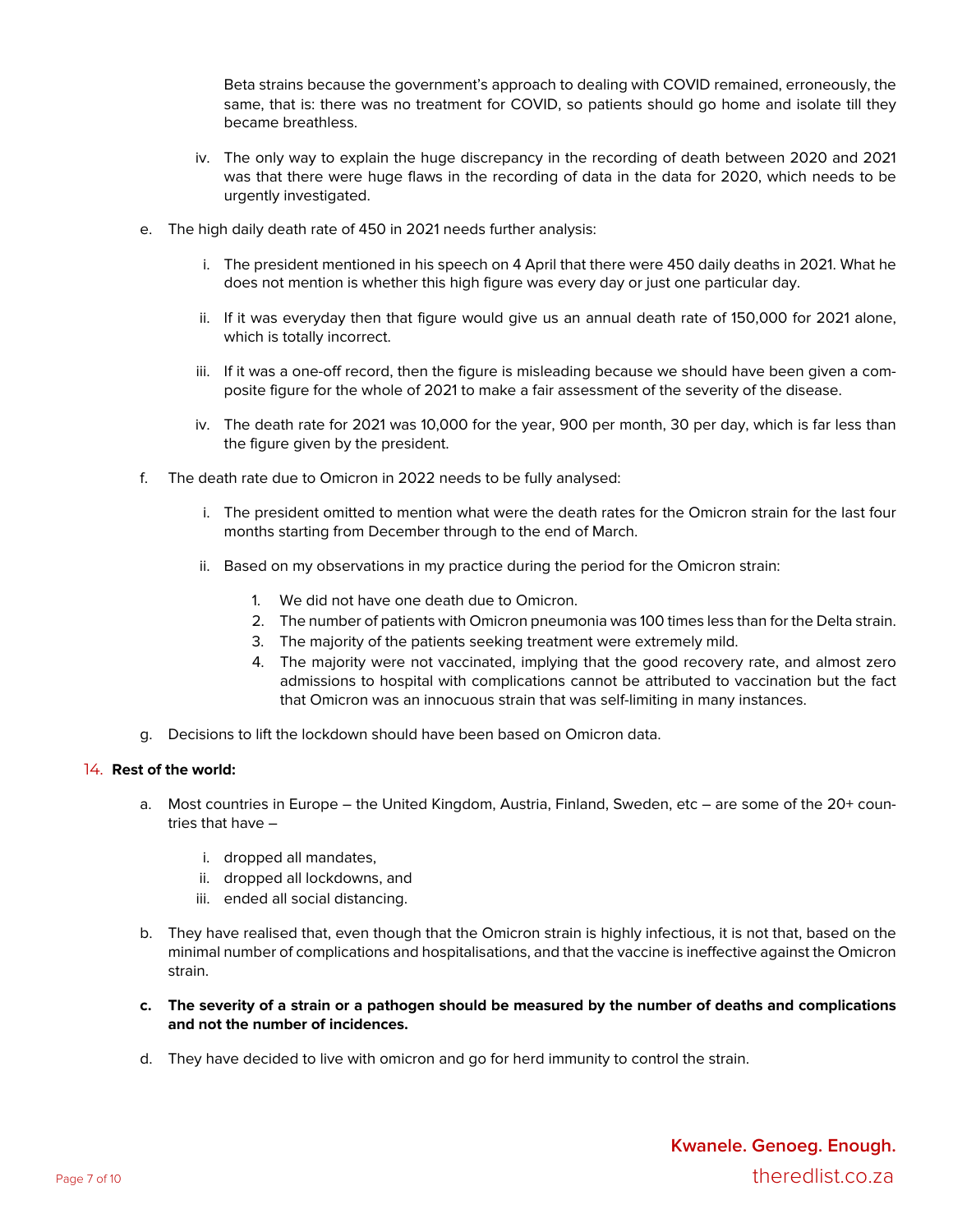Beta strains because the government's approach to dealing with COVID remained, erroneously, the same, that is: there was no treatment for COVID, so patients should go home and isolate till they became breathless.

- iv. The only way to explain the huge discrepancy in the recording of death between 2020 and 2021 was that there were huge flaws in the recording of data in the data for 2020, which needs to be urgently investigated.
- e. The high daily death rate of 450 in 2021 needs further analysis:
	- i. The president mentioned in his speech on 4 April that there were 450 daily deaths in 2021. What he does not mention is whether this high figure was every day or just one particular day.
	- ii. If it was everyday then that figure would give us an annual death rate of 150,000 for 2021 alone, which is totally incorrect.
	- iii. If it was a one-off record, then the figure is misleading because we should have been given a composite figure for the whole of 2021 to make a fair assessment of the severity of the disease.
	- iv. The death rate for 2021 was 10,000 for the year, 900 per month, 30 per day, which is far less than the figure given by the president.
- f. The death rate due to Omicron in 2022 needs to be fully analysed:
	- i. The president omitted to mention what were the death rates for the Omicron strain for the last four months starting from December through to the end of March.
	- ii. Based on my observations in my practice during the period for the Omicron strain:
		- 1. We did not have one death due to Omicron.
		- 2. The number of patients with Omicron pneumonia was 100 times less than for the Delta strain.
		- 3. The majority of the patients seeking treatment were extremely mild.
		- 4. The majority were not vaccinated, implying that the good recovery rate, and almost zero admissions to hospital with complications cannot be attributed to vaccination but the fact that Omicron was an innocuous strain that was self-limiting in many instances.
- g. Decisions to lift the lockdown should have been based on Omicron data.

# 14. **Rest of the world:**

- a. Most countries in Europe the United Kingdom, Austria, Finland, Sweden, etc are some of the 20+ countries that have –
	- i. dropped all mandates,
	- ii. dropped all lockdowns, and
	- iii. ended all social distancing.
- b. They have realised that, even though that the Omicron strain is highly infectious, it is not that, based on the minimal number of complications and hospitalisations, and that the vaccine is ineffective against the Omicron strain.
- c. The severity of a strain or a pathogen should be measured by the number of deaths and complications **and not the number of incidences.**
- d. They have decided to live with omicron and go for herd immunity to control the strain.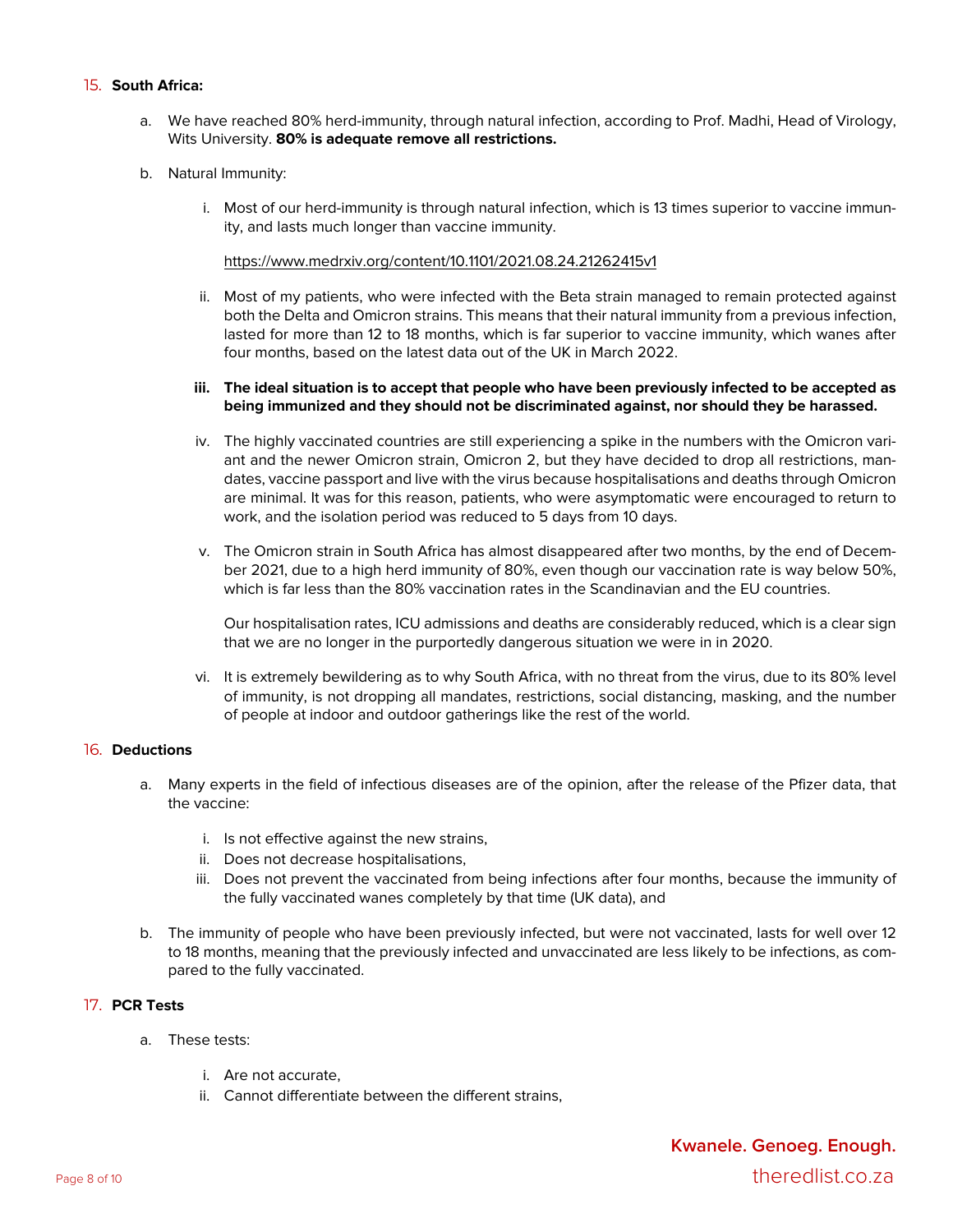# 15. **South Africa:**

- a. We have reached 80% herd-immunity, through natural infection, according to Prof. Madhi, Head of Virology, Wits University. **80% is adequate remove all restrictions.**
- b. Natural Immunity:
	- i. Most of our herd-immunity is through natural infection, which is 13 times superior to vaccine immunity, and lasts much longer than vaccine immunity.

https://www.medrxiv.org/content/10.1101/2021.08.24.21262415v1

ii. Most of my patients, who were infected with the Beta strain managed to remain protected against both the Delta and Omicron strains. This means that their natural immunity from a previous infection, lasted for more than 12 to 18 months, which is far superior to vaccine immunity, which wanes after four months, based on the latest data out of the UK in March 2022.

# iii. The ideal situation is to accept that people who have been previously infected to be accepted as **being immunized and they should not be discriminated against, nor should they be harassed.**

- iv. The highly vaccinated countries are still experiencing a spike in the numbers with the Omicron variant and the newer Omicron strain, Omicron 2, but they have decided to drop all restrictions, mandates, vaccine passport and live with the virus because hospitalisations and deaths through Omicron are minimal. It was for this reason, patients, who were asymptomatic were encouraged to return to work, and the isolation period was reduced to 5 days from 10 days.
- v. The Omicron strain in South Africa has almost disappeared after two months, by the end of December 2021, due to a high herd immunity of 80%, even though our vaccination rate is way below 50%, which is far less than the 80% vaccination rates in the Scandinavian and the EU countries.

Our hospitalisation rates, ICU admissions and deaths are considerably reduced, which is a clear sign that we are no longer in the purportedly dangerous situation we were in in 2020.

vi. It is extremely bewildering as to why South Africa, with no threat from the virus, due to its 80% level of immunity, is not dropping all mandates, restrictions, social distancing, masking, and the number of people at indoor and outdoor gatherings like the rest of the world.

# 16. **Deductions**

- a. Many experts in the field of infectious diseases are of the opinion, after the release of the Pfizer data, that the vaccine:
	- i. Is not effective against the new strains,
	- ii. Does not decrease hospitalisations,
	- iii. Does not prevent the vaccinated from being infections after four months, because the immunity of the fully vaccinated wanes completely by that time (UK data), and
- b. The immunity of people who have been previously infected, but were not vaccinated, lasts for well over 12 to 18 months, meaning that the previously infected and unvaccinated are less likely to be infections, as compared to the fully vaccinated.

# 17. **PCR Tests**

- a. These tests:
	- i. Are not accurate,
	- ii. Cannot differentiate between the different strains,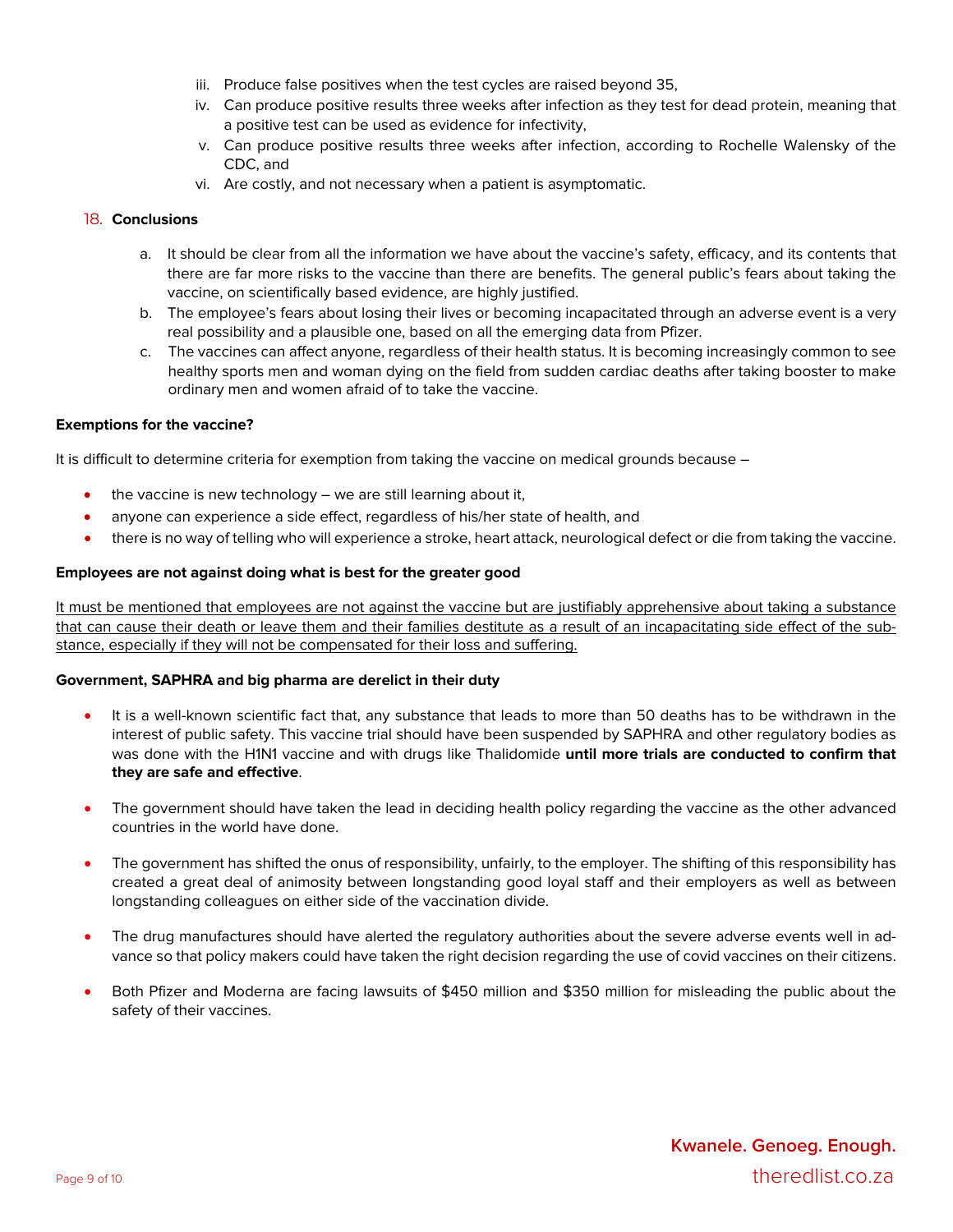- iii. Produce false positives when the test cycles are raised beyond 35,
- iv. Can produce positive results three weeks after infection as they test for dead protein, meaning that a positive test can be used as evidence for infectivity,
- v. Can produce positive results three weeks after infection, according to Rochelle Walensky of the CDC, and
- vi. Are costly, and not necessary when a patient is asymptomatic.

#### 18. **Conclusions**

- a. It should be clear from all the information we have about the vaccine's safety, efficacy, and its contents that there are far more risks to the vaccine than there are benefits. The general public's fears about taking the vaccine, on scientifically based evidence, are highly justified.
- b. The employee's fears about losing their lives or becoming incapacitated through an adverse event is a very real possibility and a plausible one, based on all the emerging data from Pfizer.
- c. The vaccines can affect anyone, regardless of their health status. It is becoming increasingly common to see healthy sports men and woman dying on the field from sudden cardiac deaths after taking booster to make ordinary men and women afraid of to take the vaccine.

#### **Exemptions for the vaccine?**

It is difficult to determine criteria for exemption from taking the vaccine on medical grounds because –

- the vaccine is new technology  $-$  we are still learning about it,
- anyone can experience a side effect, regardless of his/her state of health, and
- there is no way of telling who will experience a stroke, heart attack, neurological defect or die from taking the vaccine.

# **Employees are not against doing what is best for the greater good**

It must be mentioned that employees are not against the vaccine but are justifiably apprehensive about taking a substance that can cause their death or leave them and their families destitute as a result of an incapacitating side effect of the substance, especially if they will not be compensated for their loss and suffering.

#### **Government, SAPHRA and big pharma are derelict in their duty**

- It is a well-known scientific fact that, any substance that leads to more than 50 deaths has to be withdrawn in the interest of public safety. This vaccine trial should have been suspended by SAPHRA and other regulatory bodies as was done with the H1N1 vaccine and with drugs like Thalidomide **until more trials are conducted to confirm that they are safe and effective**.
- The government should have taken the lead in deciding health policy regarding the vaccine as the other advanced countries in the world have done.
- The government has shifted the onus of responsibility, unfairly, to the employer. The shifting of this responsibility has created a great deal of animosity between longstanding good loyal staff and their employers as well as between longstanding colleagues on either side of the vaccination divide.
- The drug manufactures should have alerted the regulatory authorities about the severe adverse events well in advance so that policy makers could have taken the right decision regarding the use of covid vaccines on their citizens.
- Both Pfizer and Moderna are facing lawsuits of \$450 million and \$350 million for misleading the public about the safety of their vaccines.